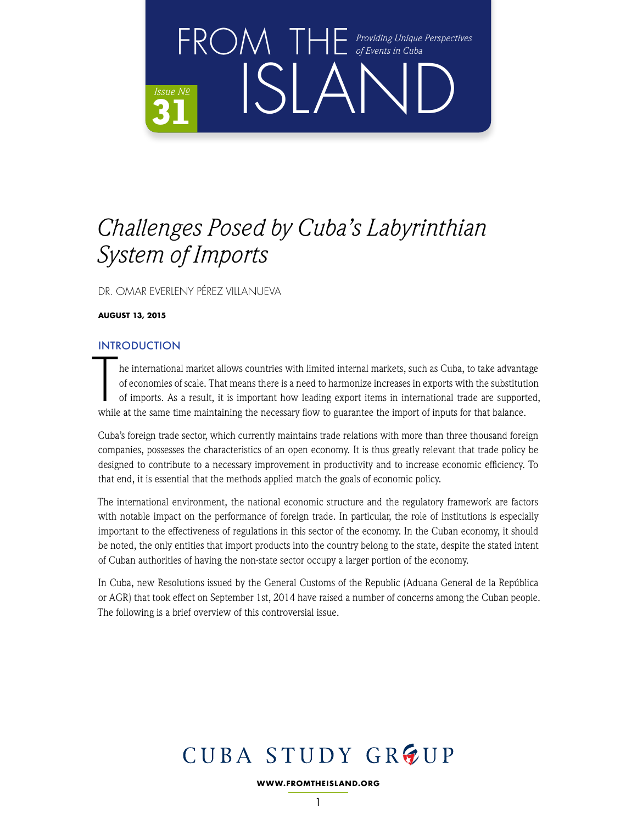

DR. OMAR EVERLENY PÉREZ VILLANUEVA

**AUGUST 13, 2015**

### INTRODUCTION

The international market allows countries with limited internal markets, such as Cuba, to take advantation of economies of scale. That means there is a need to harmonize increases in exports with the substitution of import he international market allows countries with limited internal markets, such as Cuba, to take advantage of economies of scale. That means there is a need to harmonize increases in exports with the substitution of imports. As a result, it is important how leading export items in international trade are supported,

Cuba's foreign trade sector, which currently maintains trade relations with more than three thousand foreign companies, possesses the characteristics of an open economy. It is thus greatly relevant that trade policy be designed to contribute to a necessary improvement in productivity and to increase economic efficiency. To that end, it is essential that the methods applied match the goals of economic policy.

The international environment, the national economic structure and the regulatory framework are factors with notable impact on the performance of foreign trade. In particular, the role of institutions is especially important to the effectiveness of regulations in this sector of the economy. In the Cuban economy, it should be noted, the only entities that import products into the country belong to the state, despite the stated intent of Cuban authorities of having the non-state sector occupy a larger portion of the economy.

In Cuba, new Resolutions issued by the General Customs of the Republic (Aduana General de la República or AGR) that took effect on September 1st, 2014 have raised a number of concerns among the Cuban people. The following is a brief overview of this controversial issue.

# CUBA STUDY GROUP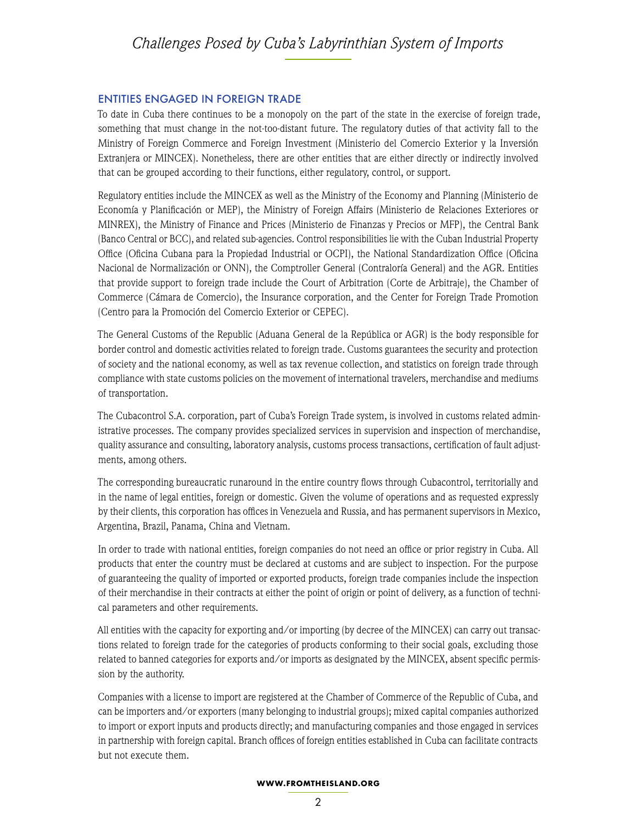#### ENTITIES ENGAGED IN FOREIGN TRADE

To date in Cuba there continues to be a monopoly on the part of the state in the exercise of foreign trade, something that must change in the not-too-distant future. The regulatory duties of that activity fall to the Ministry of Foreign Commerce and Foreign Investment (Ministerio del Comercio Exterior y la Inversión Extranjera or MINCEX). Nonetheless, there are other entities that are either directly or indirectly involved that can be grouped according to their functions, either regulatory, control, or support.

Regulatory entities include the MINCEX as well as the Ministry of the Economy and Planning (Ministerio de Economía y Planificación or MEP), the Ministry of Foreign Affairs (Ministerio de Relaciones Exteriores or MINREX), the Ministry of Finance and Prices (Ministerio de Finanzas y Precios or MFP), the Central Bank (Banco Central or BCC), and related sub-agencies. Control responsibilities lie with the Cuban Industrial Property Office (Oficina Cubana para la Propiedad Industrial or OCPI), the National Standardization Office (Oficina Nacional de Normalización or ONN), the Comptroller General (Contraloría General) and the AGR. Entities that provide support to foreign trade include the Court of Arbitration (Corte de Arbitraje), the Chamber of Commerce (Cámara de Comercio), the Insurance corporation, and the Center for Foreign Trade Promotion (Centro para la Promoción del Comercio Exterior or CEPEC).

The General Customs of the Republic (Aduana General de la República or AGR) is the body responsible for border control and domestic activities related to foreign trade. Customs guarantees the security and protection of society and the national economy, as well as tax revenue collection, and statistics on foreign trade through compliance with state customs policies on the movement of international travelers, merchandise and mediums of transportation.

The Cubacontrol S.A. corporation, part of Cuba's Foreign Trade system, is involved in customs related administrative processes. The company provides specialized services in supervision and inspection of merchandise, quality assurance and consulting, laboratory analysis, customs process transactions, certification of fault adjustments, among others.

The corresponding bureaucratic runaround in the entire country flows through Cubacontrol, territorially and in the name of legal entities, foreign or domestic. Given the volume of operations and as requested expressly by their clients, this corporation has offices in Venezuela and Russia, and has permanent supervisors in Mexico, Argentina, Brazil, Panama, China and Vietnam.

In order to trade with national entities, foreign companies do not need an office or prior registry in Cuba. All products that enter the country must be declared at customs and are subject to inspection. For the purpose of guaranteeing the quality of imported or exported products, foreign trade companies include the inspection of their merchandise in their contracts at either the point of origin or point of delivery, as a function of technical parameters and other requirements.

All entities with the capacity for exporting and/or importing (by decree of the MINCEX) can carry out transactions related to foreign trade for the categories of products conforming to their social goals, excluding those related to banned categories for exports and/or imports as designated by the MINCEX, absent specific permission by the authority.

Companies with a license to import are registered at the Chamber of Commerce of the Republic of Cuba, and can be importers and/or exporters (many belonging to industrial groups); mixed capital companies authorized to import or export inputs and products directly; and manufacturing companies and those engaged in services in partnership with foreign capital. Branch offices of foreign entities established in Cuba can facilitate contracts but not execute them.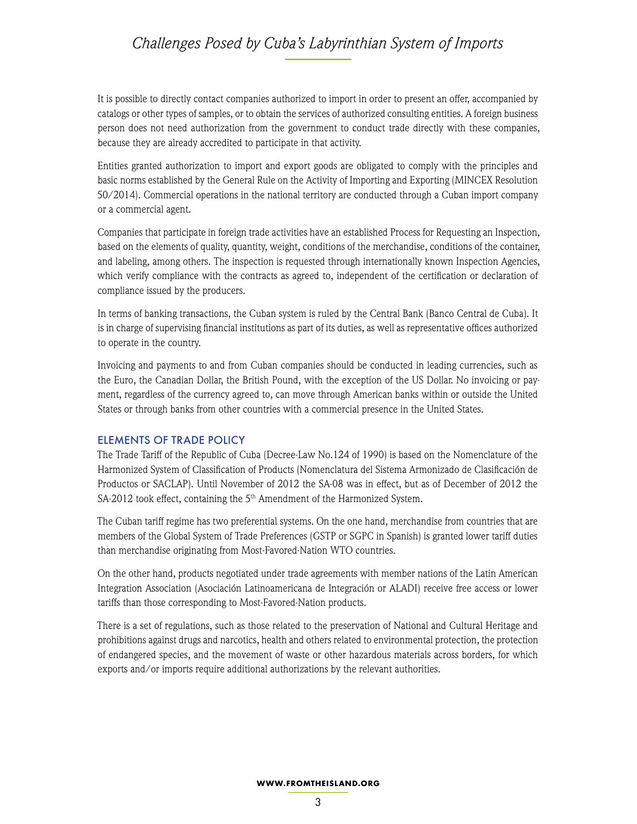It is possible to directly contact companies authorized to import in order to present an offer, accompanied by catalogs or other types of samples, or to obtain the services of authorized consulting entities. A foreign business person does not need authorization from the government to conduct trade directly with these companies, because they are already accredited to participate in that activity.

Entities granted authorization to import and export goods are obligated to comply with the principles and basic norms established by the General Rule on the Activity of Importing and Exporting (MINCEX Resolution 50/2014). Commercial operations in the national territory are conducted through a Cuban import company or a commercial agent.

Companies that participate in foreign trade activities have an established Process for Requesting an Inspection, based on the elements of quality, quantity, weight, conditions of the merchandise, conditions of the container, and labeling, among others. The inspection is requested through internationally known Inspection Agencies, which verify compliance with the contracts as agreed to, independent of the certification or declaration of compliance issued by the producers.

In terms of banking transactions, the Cuban system is ruled by the Central Bank (Banco Central de Cuba). It is in charge of supervising financial institutions as part of its duties, as well as representative offices authorized to operate in the country.

Invoicing and payments to and from Cuban companies should be conducted in leading currencies, such as the Euro, the Canadian Dollar, the British Pound, with the exception of the US Dollar. No invoicing or payment, regardless of the currency agreed to, can move through American banks within or outside the United States or through banks from other countries with a commercial presence in the United States.

#### ELEMENTS OF TRADE POLICY

The Trade Tariff of the Republic of Cuba (Decree-Law No.124 of 1990) is based on the Nomenclature of the Harmonized System of Classification of Products (Nomenclatura del Sistema Armonizado de Clasificación de Productos or SACLAP). Until November of 2012 the SA-08 was in effect, but as of December of 2012 the SA-2012 took effect, containing the 5<sup>th</sup> Amendment of the Harmonized System.

The Cuban tariff regime has two preferential systems. On the one hand, merchandise from countries that are members of the Global System of Trade Preferences (GSTP or SGPC in Spanish) is granted lower tariff duties than merchandise originating from Most-Favored-Nation WTO countries.

On the other hand, products negotiated under trade agreements with member nations of the Latin American Integration Association (Asociación Latinoamericana de Integración or ALADI) receive free access or lower tariffs than those corresponding to Most-Favored-Nation products.

There is a set of regulations, such as those related to the preservation of National and Cultural Heritage and prohibitions against drugs and narcotics, health and others related to environmental protection, the protection of endangered species, and the movement of waste or other hazardous materials across borders, for which exports and/or imports require additional authorizations by the relevant authorities.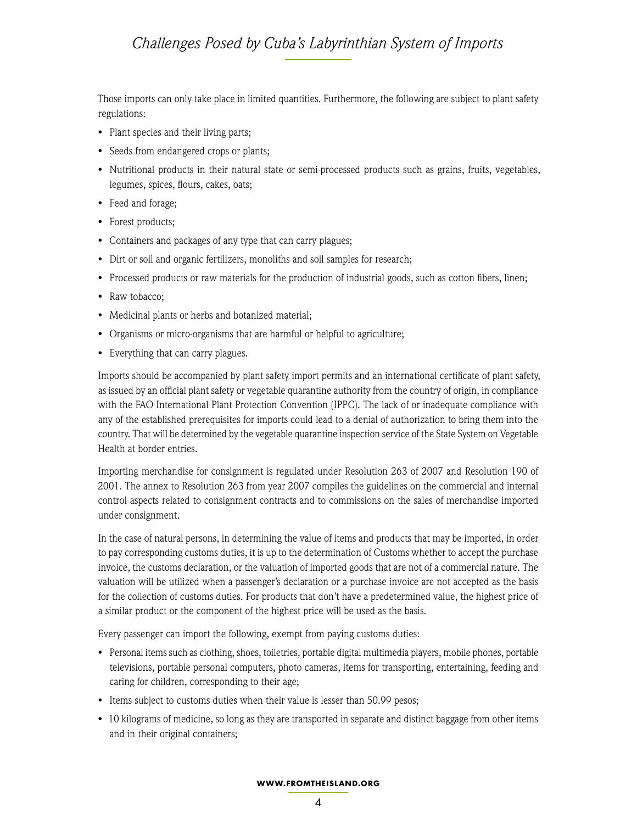Those imports can only take place in limited quantities. Furthermore, the following are subject to plant safety regulations:

- Plant species and their living parts;
- Seeds from endangered crops or plants;
- Nutritional products in their natural state or semi-processed products such as grains, fruits, vegetables, legumes, spices, flours, cakes, oats;
- Feed and forage;
- Forest products;
- Containers and packages of any type that can carry plagues;
- Dirt or soil and organic fertilizers, monoliths and soil samples for research;
- Processed products or raw materials for the production of industrial goods, such as cotton fibers, linen;
- Raw tobacco;
- Medicinal plants or herbs and botanized material;
- Organisms or micro-organisms that are harmful or helpful to agriculture;
- Everything that can carry plagues.

Imports should be accompanied by plant safety import permits and an international certificate of plant safety, as issued by an official plant safety or vegetable quarantine authority from the country of origin, in compliance with the FAO International Plant Protection Convention (IPPC). The lack of or inadequate compliance with any of the established prerequisites for imports could lead to a denial of authorization to bring them into the country. That will be determined by the vegetable quarantine inspection service of the State System on Vegetable Health at border entries.

Importing merchandise for consignment is regulated under Resolution 263 of 2007 and Resolution 190 of 2001. The annex to Resolution 263 from year 2007 compiles the guidelines on the commercial and internal control aspects related to consignment contracts and to commissions on the sales of merchandise imported under consignment.

In the case of natural persons, in determining the value of items and products that may be imported, in order to pay corresponding customs duties, it is up to the determination of Customs whether to accept the purchase invoice, the customs declaration, or the valuation of imported goods that are not of a commercial nature. The valuation will be utilized when a passenger's declaration or a purchase invoice are not accepted as the basis for the collection of customs duties. For products that don't have a predetermined value, the highest price of a similar product or the component of the highest price will be used as the basis.

Every passenger can import the following, exempt from paying customs duties:

- Personal items such as clothing, shoes, toiletries, portable digital multimedia players, mobile phones, portable televisions, portable personal computers, photo cameras, items for transporting, entertaining, feeding and caring for children, corresponding to their age;
- Items subject to customs duties when their value is lesser than 50.99 pesos;
- 10 kilograms of medicine, so long as they are transported in separate and distinct baggage from other items and in their original containers;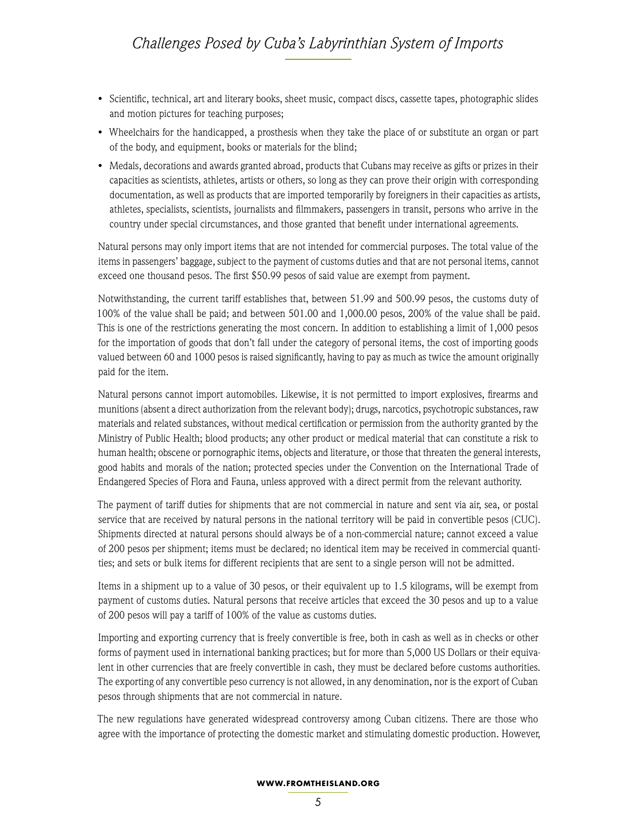- Scientific, technical, art and literary books, sheet music, compact discs, cassette tapes, photographic slides and motion pictures for teaching purposes;
- Wheelchairs for the handicapped, a prosthesis when they take the place of or substitute an organ or part of the body, and equipment, books or materials for the blind;
- Medals, decorations and awards granted abroad, products that Cubans may receive as gifts or prizes in their capacities as scientists, athletes, artists or others, so long as they can prove their origin with corresponding documentation, as well as products that are imported temporarily by foreigners in their capacities as artists, athletes, specialists, scientists, journalists and filmmakers, passengers in transit, persons who arrive in the country under special circumstances, and those granted that benefit under international agreements.

Natural persons may only import items that are not intended for commercial purposes. The total value of the items in passengers' baggage, subject to the payment of customs duties and that are not personal items, cannot exceed one thousand pesos. The first \$50.99 pesos of said value are exempt from payment.

Notwithstanding, the current tariff establishes that, between 51.99 and 500.99 pesos, the customs duty of 100% of the value shall be paid; and between 501.00 and 1,000.00 pesos, 200% of the value shall be paid. This is one of the restrictions generating the most concern. In addition to establishing a limit of 1,000 pesos for the importation of goods that don't fall under the category of personal items, the cost of importing goods valued between 60 and 1000 pesos is raised significantly, having to pay as much as twice the amount originally paid for the item.

Natural persons cannot import automobiles. Likewise, it is not permitted to import explosives, firearms and munitions (absent a direct authorization from the relevant body); drugs, narcotics, psychotropic substances, raw materials and related substances, without medical certification or permission from the authority granted by the Ministry of Public Health; blood products; any other product or medical material that can constitute a risk to human health; obscene or pornographic items, objects and literature, or those that threaten the general interests, good habits and morals of the nation; protected species under the Convention on the International Trade of Endangered Species of Flora and Fauna, unless approved with a direct permit from the relevant authority.

The payment of tariff duties for shipments that are not commercial in nature and sent via air, sea, or postal service that are received by natural persons in the national territory will be paid in convertible pesos (CUC). Shipments directed at natural persons should always be of a non-commercial nature; cannot exceed a value of 200 pesos per shipment; items must be declared; no identical item may be received in commercial quantities; and sets or bulk items for different recipients that are sent to a single person will not be admitted.

Items in a shipment up to a value of 30 pesos, or their equivalent up to 1.5 kilograms, will be exempt from payment of customs duties. Natural persons that receive articles that exceed the 30 pesos and up to a value of 200 pesos will pay a tariff of 100% of the value as customs duties.

Importing and exporting currency that is freely convertible is free, both in cash as well as in checks or other forms of payment used in international banking practices; but for more than 5,000 US Dollars or their equivalent in other currencies that are freely convertible in cash, they must be declared before customs authorities. The exporting of any convertible peso currency is not allowed, in any denomination, nor is the export of Cuban pesos through shipments that are not commercial in nature.

The new regulations have generated widespread controversy among Cuban citizens. There are those who agree with the importance of protecting the domestic market and stimulating domestic production. However,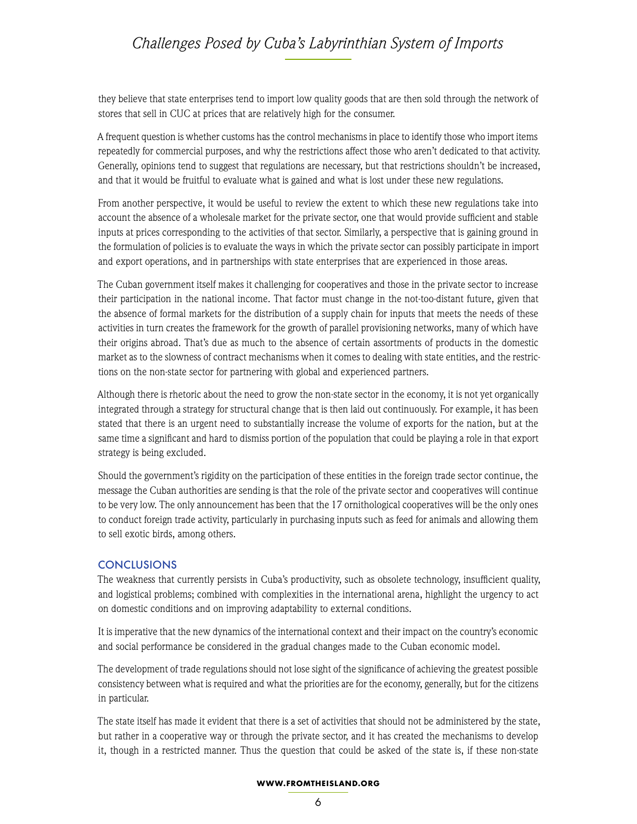they believe that state enterprises tend to import low quality goods that are then sold through the network of stores that sell in CUC at prices that are relatively high for the consumer.

A frequent question is whether customs has the control mechanisms in place to identify those who import items repeatedly for commercial purposes, and why the restrictions affect those who aren't dedicated to that activity. Generally, opinions tend to suggest that regulations are necessary, but that restrictions shouldn't be increased, and that it would be fruitful to evaluate what is gained and what is lost under these new regulations.

From another perspective, it would be useful to review the extent to which these new regulations take into account the absence of a wholesale market for the private sector, one that would provide sufficient and stable inputs at prices corresponding to the activities of that sector. Similarly, a perspective that is gaining ground in the formulation of policies is to evaluate the ways in which the private sector can possibly participate in import and export operations, and in partnerships with state enterprises that are experienced in those areas.

The Cuban government itself makes it challenging for cooperatives and those in the private sector to increase their participation in the national income. That factor must change in the not-too-distant future, given that the absence of formal markets for the distribution of a supply chain for inputs that meets the needs of these activities in turn creates the framework for the growth of parallel provisioning networks, many of which have their origins abroad. That's due as much to the absence of certain assortments of products in the domestic market as to the slowness of contract mechanisms when it comes to dealing with state entities, and the restrictions on the non-state sector for partnering with global and experienced partners.

Although there is rhetoric about the need to grow the non-state sector in the economy, it is not yet organically integrated through a strategy for structural change that is then laid out continuously. For example, it has been stated that there is an urgent need to substantially increase the volume of exports for the nation, but at the same time a significant and hard to dismiss portion of the population that could be playing a role in that export strategy is being excluded.

Should the government's rigidity on the participation of these entities in the foreign trade sector continue, the message the Cuban authorities are sending is that the role of the private sector and cooperatives will continue to be very low. The only announcement has been that the 17 ornithological cooperatives will be the only ones to conduct foreign trade activity, particularly in purchasing inputs such as feed for animals and allowing them to sell exotic birds, among others.

#### **CONCLUSIONS**

The weakness that currently persists in Cuba's productivity, such as obsolete technology, insufficient quality, and logistical problems; combined with complexities in the international arena, highlight the urgency to act on domestic conditions and on improving adaptability to external conditions.

It is imperative that the new dynamics of the international context and their impact on the country's economic and social performance be considered in the gradual changes made to the Cuban economic model.

The development of trade regulations should not lose sight of the significance of achieving the greatest possible consistency between what is required and what the priorities are for the economy, generally, but for the citizens in particular.

The state itself has made it evident that there is a set of activities that should not be administered by the state, but rather in a cooperative way or through the private sector, and it has created the mechanisms to develop it, though in a restricted manner. Thus the question that could be asked of the state is, if these non-state